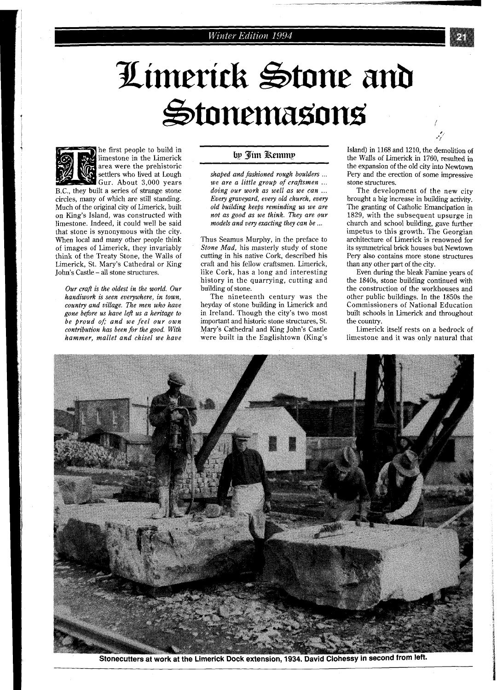# Limerick Stone and Stonemasons



he first people to build in limestone in the Limerick area were the prehistoric settlers who lived at Lough Gur. About 3,000 years

B.C., they built a series of strange stone circles, many of which are still standing. Much of the original city of Limerick, built on King's Island, was constructed with limestone. Indeed, it could well be said that stone is synonymous with the city. When local and many other people think of images of Limerick, they invariably think of the Treaty Stone, the Walls of Limerick, St. Mary's Cathedral or King John's Castle - all stone structures.

*Our craft is the oldest in the world. Our handiwork is seen everywhere, in town, country and village. The men who have gone before us have left us a heritage to be proud of; and we feel our own contribution has been for the good. With hammer, mallet and chisel we have* 

#### bp Jim Remmp

*shaped and fashioned rough boulders* ... *we are a little group of craftsmen* ... *doing our work as well as we can* ... *Every graveyard, every old church, every old building keeps reminding us we are not as good as we think. They are our models and very exacting they can be* ...

Thus Seamus Murphy, in the preface to *Stone Mad,* his masterly study of stone cutting in his native Cork, described his craft and his fellow craftsmen. Limerick, like Cork, has a long and interesting history in the quarrying, cutting and building of stone.

The nineteenth century was the heyday of stone building in Limerick and in Ireland. Though the city's two most important and historic stone structures, St. Mary's Cathedral and King John's Castle were built in the Englishtown (King's

Island) in 1168 and 1210, the demolition of the Walls of Limerick in 1760, resulted in the expansion of the old city into Newtown Pery and the erection of some impressive stone structures.

The development of the new city brought a big increase in building activity. The granting of Catholic Emancipation in 1829, with the subsequent upsurge in church and school building, gave further impetus to this growth. The Georgian architecture of Limerick is renowned for its symmetrical brick houses but Newtown Pery also contains more stone structures than any other part of the city.

Even during the bleak Famine years of the 1840s, stone building continued with the construction of the workhouses and other public buildings. In the 1850s the Commissioners of National Education built schools in Limerick and throughout the country.

Limerick itself rests on a bedrock of limestone and it was only natural that



Stonecutters at work at the Limerick Dock extension, 1934. David Clohessy in second from left.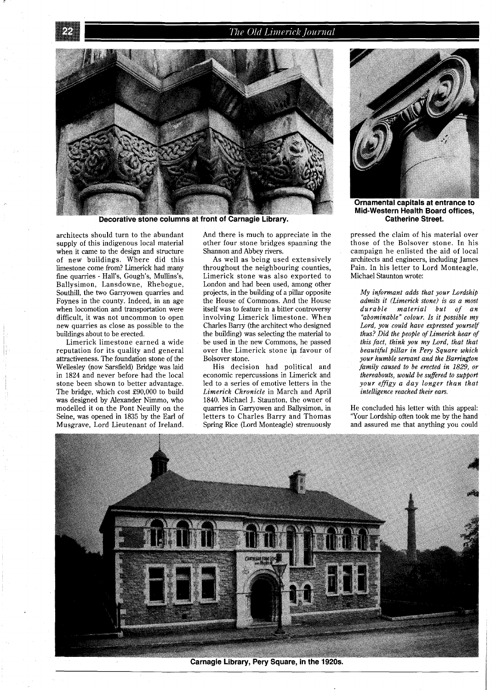## The Old Limerick Journal



Decorative stone columns at front of Carnagie Library.

architects should turn to the abundant supply of this indigenous local material when it came to the design and structure of new buildings. Where did this limestone come from? Limerick had many fine quarries - Hall's, Gough's, Mullins's, Ballysimon, Lansdowne, Rhebogue, Southill, the two Garryowen quarries and Foynes in the county. Indeed, in an age when locomotion and transportation were difficult, it was not uncommon to open new quarries as close as possible to the buildings about to be erected.

Limerick limestone earned a wide reputation for its quality and general attractiveness. The foundation stone of the Wellesley (now Sarsfield) Bridge was laid in 1824 and never before had the local stone been shown to better advantage. The bridge, which cost £90,000 to build was designed by Alexander Nimmo, who modelled it on the Pont Neuilly on the Seine, was opened in 1835 by the Earl of Musgrave, Lord Lieutenant of Ireland.

And there is much to appreciate in the other four stone bridges spanning the Shannon and Abbey rivers.

As well as being used extensively throughout the neighbouring counties, Limerick stone was also exported to London and had been used, among other projects, in the building of a pillar opposite the House of Commons. And the House itself was to feature in a bitter controversy involving Limerick limestone. When Charles Barry (the architect who designed the building) was selecting the material to be used in the new Commons, he passed over the Limerick stone ip favour of Bolsover stone.

His decision had political and economic repercussions in Limerick and led to a series of emotive letters in the *Limerick Chronicle* in March and April 1840. Michael J. Staunton, the owner of quarries in Garryowen and Ballysimon, in letters to Charles Barry and Thomas Spring Rice (Lord Monteagle) strenuously



Ornamental capitals at entrance to **Mid-Western Health Board offices, Catherine Street.** 

pressed the claim of his material over those of the Bolsover stone. In his campaign he enlisted the aid of local architects and engineers, including James Pain. In his letter to Lord Monteagle, Michael Staunton wrote:

*My informant adds that your Lordship admits it (Limerick stone) is as a most durable material but of an "abominable" colour. Is it possible my Lord, you could have expressed yourself thus? Did the people of Limerick hear of this fact, think you my Lord, that that beautiful pillar in Pery Square which your humble servant and the Barrington family caused to be erected in 1829, or thereabouts, would be suffered to support your effigy a day longer than that intelligence reached their ears.* 

He concluded his letter with this appeal: 'Your Lordship often took me by the hand and assured me that anything you could



**Carnagie Library, Pery Square, in the 1920s.**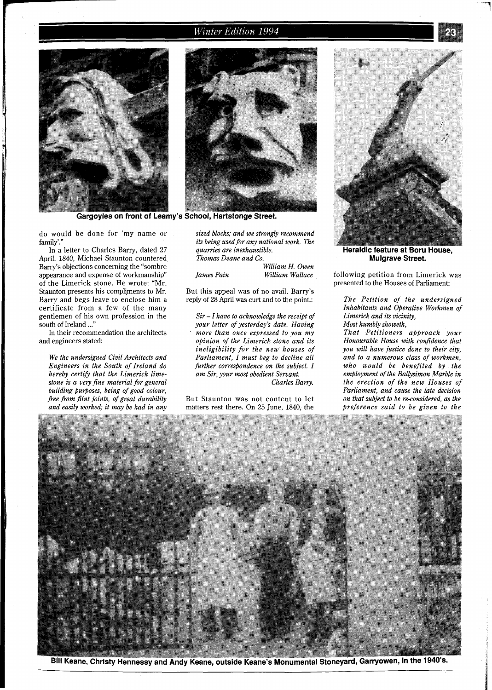## Winter Edition 1994





Gargoyles on front of Leamy's School, Hartstonge Street.

do would be done for 'my name or family'.'

In a letter to Charles Barry, dated 27 April, 1840, Michael Staunton countered Bany's objections concerning the "sombre appearance and expense of workmanship" of the Limerick stone. He wrote: "Mr. Staunton presents his compljments to Mr. Barry and begs leave to enclose him a certificate from a few of the many gentlemen of his own profession in the south of Ireland ..."

In their recommendation the architects and engineers stated:

*We the undersigned Civil Architects and Engineers in the South of Ireland do hereby certifj that the Limerick limestone is a very fine material for general building purposes, being of good colour, free from flint joints, of great durability and easily worked; it may be had in any* 

*sized blocks; and we strongly recommend its being used for any national work. The quarries are inexhaustible. Thomas Deane and Co. William H. Owen* 

*James Pain William Wallace* 

But this appeal was of no avail. Barry's reply of 28 April was curt and to the point.:

*Sir* - *I have to acknowledge the receipt of your letter of yesterday's date. Having more than once expressed to you my opinion of the Limerick stone and its ineligibility for the new' houses of Parliament, I must beg to decline all fkrther correspondence on the subject. I am Sir, your most obedient Servant. Charles Barry.* 

But Staunton was not content to let matters rest there. On 25 June, 1840, the



Heraldic feature at Boru House, **Mulgrave Street.** 

following petition from Limerick was presented to the Houses of Parliament:

*The Petition of the undersigned Inhabitants and Operative Workmen of Limerick and its vicinity, Most humbly showeth,* 

*That Petitioners approach your Honourable House with confidence that you will have justice done to their city, and to a numerous class of workmen, who would be benefited by the employment of the Ballysimon Marble in the erection of the new Houses of Parliament, and cause the late decision on that subject to be re-considered, as the Preference said to be given to the* 

![](_page_2_Picture_20.jpeg)

Bill Keane, Christy Hennessy and Andy Keane, outside Keane's Monumental Stoneyard, Garryowen, in the 1940's.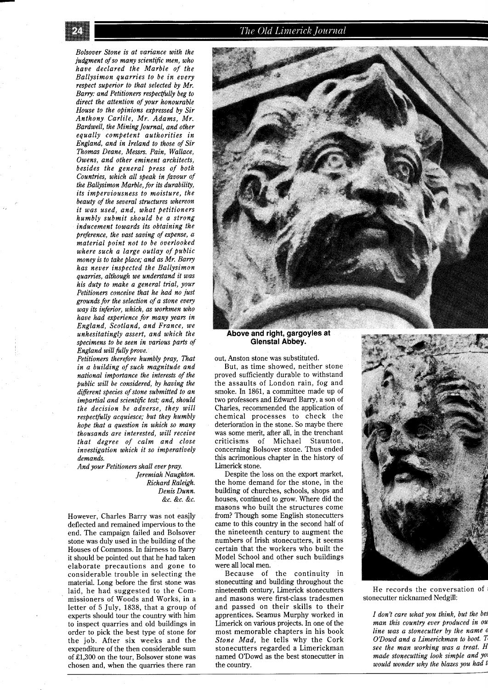The Old Limerick Journal

*Bolsover Stone is at variance with the judgment of so many scientific men, who have declared the Marble of the Ballysimon quarries to be in every respect superior to that selected by Mr. Bamy: and Petitioners respectfully beg to direct the attention of your honourable Hause to the opinions expressed by Sir Anthony Carlile, Mr. Adams, Mr. Bardwell, the Mining Journal, and other equally competent authorities in England, and in Ireland to those of Sir Thomas Deane, Messrs. Pain, Wallace, Owens, and other eminent architects, besides the general press of both Countries, which all speak in favour of the Ballysimon Marble, for its durability, its imperviousness to moisture, the beauty of the several structures whereon it was used, and, what petitioners humbly submit should be a strong inducement towards its obtaining the preference, the vast saving of expense, a material point not to be overlooked where such a large outlay of public money is to take place; and as Mr. Barry has never inspected the Ballysimon quarries, although we understand it was his duty to make a general trial, your Petitioners conceive that he had no just grounds for the selection of a stone every way its inferior, which, as workmen who have had experience for many years in England, Scotland, and France, we unhesitatingly assert, and which the specimens to be seen in various parts of England will fully prove.* 

*Petitioners therefore humbly pray, That in a building of such magnitude and national importance the interests of the public will be considered, by having the different species of stone submitted to an impartial and scientific test; and, should the decision be adverse, they will respectfully acquiesce; but they humbly hope that a question in which so many thousands are interested, will receive that degree of calm and close investigation which it so imperatively demands.* 

*And your Petitioners shall ever pray. Jeremiah Naughton. Richard Raleigh. Denis Dunn. &c. &c. &c.* 

However, Charles Barry was not easily deflected and remained impervious to the end. The campaign failed and Bolsover stone was duly used in the building of the Houses of Commons. In fairness to Barry it should be pointed out that he had taken elaborate precautions and gone to considerable trouble in selecting the material. Long before the first stone was laid, he had suggested to the Commissioners of Woods and Works, in a letter of 5 July, 1838, that a group of experts should tour the country with him to inspect quarries and old buildings in order to pick the best type of stone for the job. After six weeks and the expenditure of the then considerable sum of £1,300 on the tour, Bolsover stone was chosen and, when the quarries there ran

![](_page_3_Picture_6.jpeg)

#### **Above and right, gargoyles at Glenstal Abbey.**

out, Anston stone was substituted.

But, as time showed, neither stone proved sufficiently durable to withstand the assaults of London rain, fog and smoke. In 1861, a committee made up of two professors and Edward Barry, a son of Charles, recommended the application of chemical processes to check the deterioration in the stone. So maybe there was some merit, after all, in the trenchant criticisms of Michael Staunton, concerning Bolsover stone. Thus ended this acrimonious chapter in the history of Limerick stone.

Despite the loss on the export market, the home demand for the stone, in the building of churches, schools, shops and houses, continued to grow. Where did the masons who built the structures come from? Though some English stonecutters came to this country in the second half of the nineteenth century to augment the numbers of Irish stonecutters, it seems certain that the workers who built the Model School and other such buildings were all local men.

Because of the continuity in stonecutting and building throughout the nineteenth century, Limerick stonecutters and masons were first-class tradesmen and passed on their skills to their apprentices. Seamus Murphy worked in Limerick on various projects. In one of the most memorable chapters in his book *Stone Mad,* he tells why the Cork stonecutters regarded a Limerickman named O'Dowd as the best stonecutter in the country.

![](_page_3_Picture_12.jpeg)

He records the conversation of stonecutter nicknamed Nedgill:

*I don't care what you think, but the bes man this country ever produced in ou line was a stonecutter by the name* **<sup>o</sup>** *O'Dowd and a Limerickman to boot. see the man working was a treat.* **H**  *made stonecutting look simple and yol would wonder why the blazes you had tl*